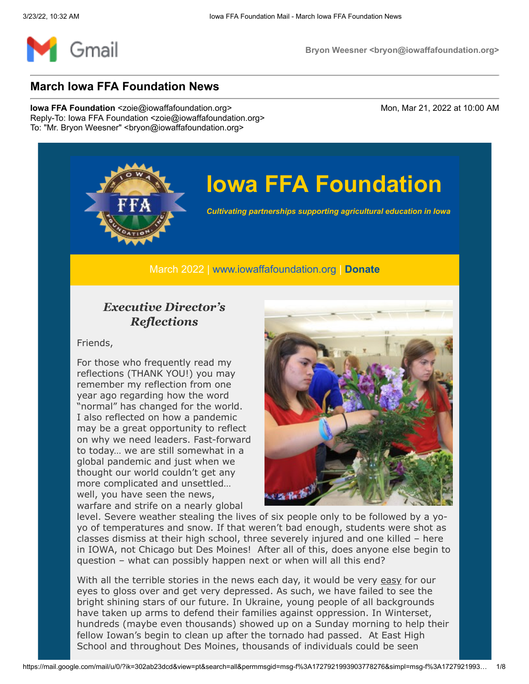

## **Iowa FFA Foundation**

*Cultivating partnerships supporting agricultural education in Iowa*

March 2022 | [www.iowaffafoundation.org](http://www.iowaffafoundation.org/) | **[Donate](https://eml-pusa01.app.blackbaud.net/intv2/j/034F070F-739B-4954-A253-CD58F6745441/r/034F070F-739B-4954-A253-CD58F6745441_7ec9f20f-377a-43e2-b86b-4c8704945dd1/l/EA98B4F5-B6B2-432E-A836-01C13BC6C9C8/c)**

#### *Executive Director's Reflections*

Friends,

For those who frequently read my reflections (THANK YOU!) you may remember my reflection from one year ago regarding how the word "normal" has changed for the world. I also reflected on how a pandemic may be a great opportunity to reflect on why we need leaders. Fast-forward to today… we are still somewhat in a global pandemic and just when we thought our world couldn't get any more complicated and unsettled… well, you have seen the news, warfare and strife on a nearly global



level. Severe weather stealing the lives of six people only to be followed by a yoyo of temperatures and snow. If that weren't bad enough, students were shot as classes dismiss at their high school, three severely injured and one killed – here in IOWA, not Chicago but Des Moines! After all of this, does anyone else begin to question – what can possibly happen next or when will all this end?

With all the terrible stories in the news each day, it would be very easy for our eyes to gloss over and get very depressed. As such, we have failed to see the bright shining stars of our future. In Ukraine, young people of all backgrounds have taken up arms to defend their families against oppression. In Winterset, hundreds (maybe even thousands) showed up on a Sunday morning to help their fellow Iowan's begin to clean up after the tornado had passed. At East High School and throughout Des Moines, thousands of individuals could be seen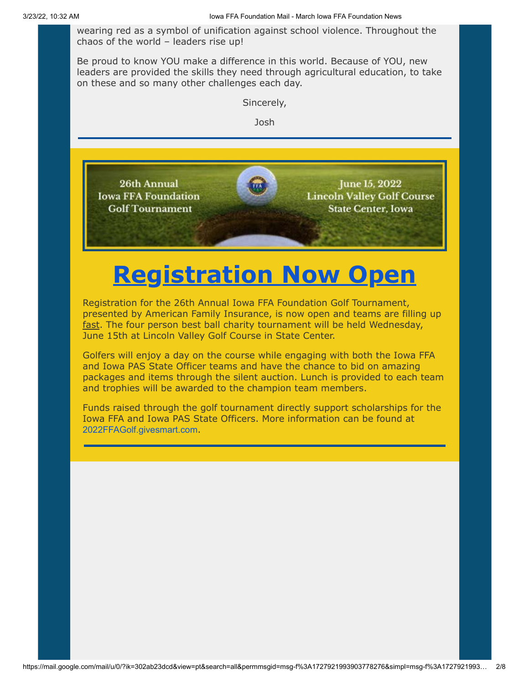wearing red as a symbol of unification against school violence. Throughout the chaos of the world – leaders rise up!

Be proud to know YOU make a difference in this world. Because of YOU, new leaders are provided the skills they need through agricultural education, to take on these and so many other challenges each day.



# **[Registration Now Open](https://eml-pusa01.app.blackbaud.net/intv2/j/034F070F-739B-4954-A253-CD58F6745441/r/034F070F-739B-4954-A253-CD58F6745441_7ec9f20f-377a-43e2-b86b-4c8704945dd1/l/BB49314D-3030-4C1C-92F2-E857E86FD9F4/c)**

Registration for the 26th Annual Iowa FFA Foundation Golf Tournament, presented by American Family Insurance, is now open and teams are filling up fast. The four person best ball charity tournament will be held Wednesday, June 15th at Lincoln Valley Golf Course in State Center.

Golfers will enjoy a day on the course while engaging with both the Iowa FFA and Iowa PAS State Officer teams and have the chance to bid on amazing packages and items through the silent auction. Lunch is provided to each team and trophies will be awarded to the champion team members.

Funds raised through the golf tournament directly support scholarships for the Iowa FFA and Iowa PAS State Officers. More information can be found at [2022FFAGolf.givesmart.com](https://eml-pusa01.app.blackbaud.net/intv2/j/034F070F-739B-4954-A253-CD58F6745441/r/034F070F-739B-4954-A253-CD58F6745441_7ec9f20f-377a-43e2-b86b-4c8704945dd1/l/5732C591-FD43-4D50-B995-53A00C23DC54/c).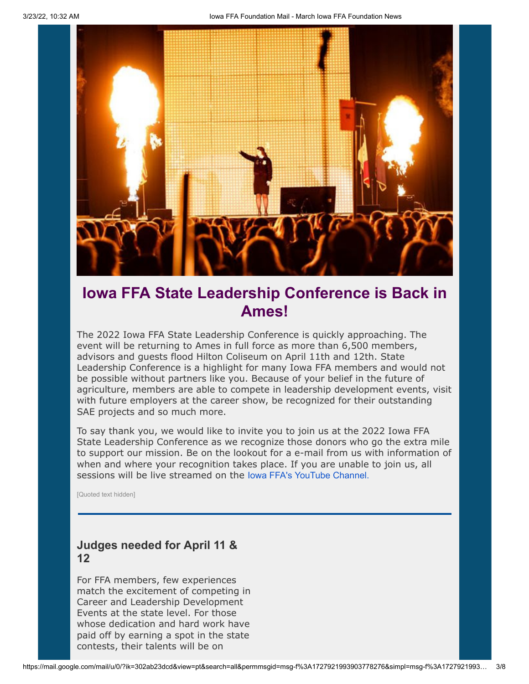

### **Iowa FFA State Leadership Conference is Back in Ames!**

The 2022 Iowa FFA State Leadership Conference is quickly approaching. The event will be returning to Ames in full force as more than 6,500 members, advisors and guests flood Hilton Coliseum on April 11th and 12th. State Leadership Conference is a highlight for many Iowa FFA members and would not be possible without partners like you. Because of your belief in the future of agriculture, members are able to compete in leadership development events, visit with future employers at the career show, be recognized for their outstanding SAE projects and so much more.

To say thank you, we would like to invite you to join us at the 2022 Iowa FFA State Leadership Conference as we recognize those donors who go the extra mile to support our mission. Be on the lookout for a e-mail from us with information of when and where your recognition takes place. If you are unable to join us, all sessions will be live streamed on the [Iowa FFA's YouTube Channel.](https://eml-pusa01.app.blackbaud.net/intv2/j/034F070F-739B-4954-A253-CD58F6745441/r/034F070F-739B-4954-A253-CD58F6745441_7ec9f20f-377a-43e2-b86b-4c8704945dd1/l/9D73ABF4-E183-483C-A25E-6349F3D780D9/c)

[Quoted text hidden]

#### **Judges needed for April 11 & 12**

For FFA members, few experiences match the excitement of competing in Career and Leadership Development Events at the state level. For those whose dedication and hard work have paid off by earning a spot in the state contests, their talents will be on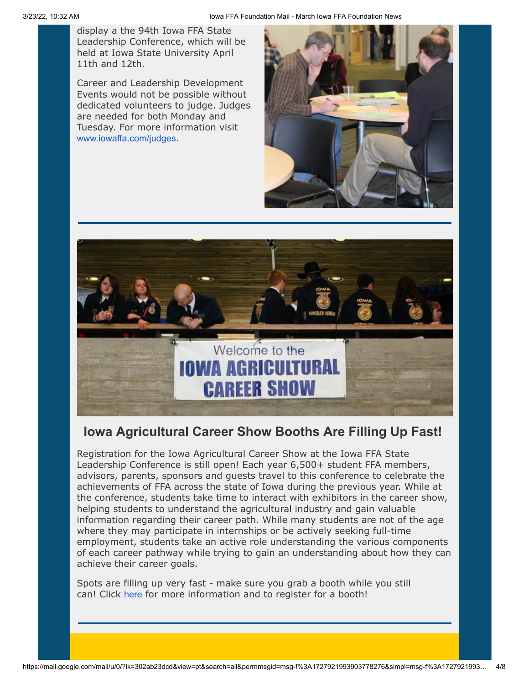display a the 94th Iowa FFA State Leadership Conference, which will be held at Iowa State University April 11th and 12th.

Career and Leadership Development Events would not be possible without dedicated volunteers to judge. Judges are needed for both Monday and Tuesday. For more information visit [www.iowaffa.com/judges](https://eml-pusa01.app.blackbaud.net/intv2/j/034F070F-739B-4954-A253-CD58F6745441/r/034F070F-739B-4954-A253-CD58F6745441_7ec9f20f-377a-43e2-b86b-4c8704945dd1/l/16E251DA-11AC-41B4-B16A-020F60929FB2/c).





#### **Iowa Agricultural Career Show Booths Are Filling Up Fast!**

Registration for the Iowa Agricultural Career Show at the Iowa FFA State Leadership Conference is still open! Each year 6,500+ student FFA members, advisors, parents, sponsors and guests travel to this conference to celebrate the achievements of FFA across the state of Iowa during the previous year. While at the conference, students take time to interact with exhibitors in the career show, helping students to understand the agricultural industry and gain valuable information regarding their career path. While many students are not of the age where they may participate in internships or be actively seeking full-time employment, students take an active role understanding the various components of each career pathway while trying to gain an understanding about how they can achieve their career goals.

Spots are filling up very fast - make sure you grab a booth while you still can! Click [here](https://eml-pusa01.app.blackbaud.net/intv2/j/034F070F-739B-4954-A253-CD58F6745441/r/034F070F-739B-4954-A253-CD58F6745441_7ec9f20f-377a-43e2-b86b-4c8704945dd1/l/B43224D7-C605-4117-B110-86BC37620392/c) for more information and to register for a booth!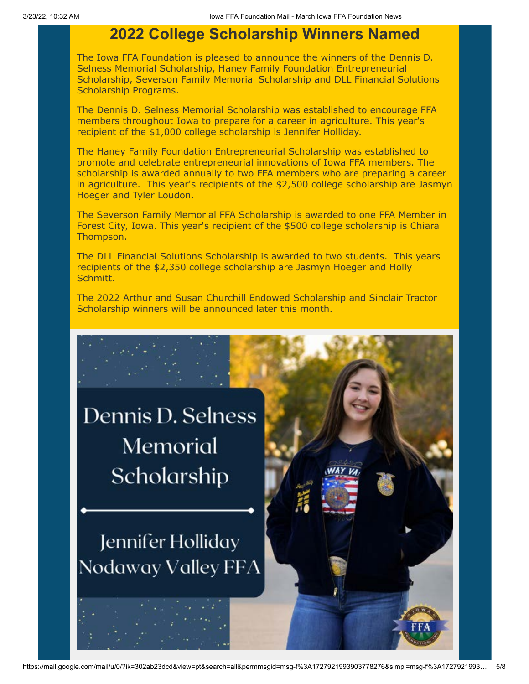### **2022 College Scholarship Winners Named**

The Iowa FFA Foundation is pleased to announce the winners of the Dennis D. Selness Memorial Scholarship, Haney Family Foundation Entrepreneurial Scholarship, Severson Family Memorial Scholarship and DLL Financial Solutions Scholarship Programs.

The Dennis D. Selness Memorial Scholarship was established to encourage FFA members throughout Iowa to prepare for a career in agriculture. This year's recipient of the \$1,000 college scholarship is Jennifer Holliday.

The Haney Family Foundation Entrepreneurial Scholarship was established to promote and celebrate entrepreneurial innovations of Iowa FFA members. The scholarship is awarded annually to two FFA members who are preparing a career in agriculture. This year's recipients of the \$2,500 college scholarship are Jasmyn Hoeger and Tyler Loudon.

The Severson Family Memorial FFA Scholarship is awarded to one FFA Member in Forest City, Iowa. This year's recipient of the \$500 college scholarship is Chiara Thompson.

The DLL Financial Solutions Scholarship is awarded to two students. This years recipients of the \$2,350 college scholarship are Jasmyn Hoeger and Holly Schmitt.

The 2022 Arthur and Susan Churchill Endowed Scholarship and Sinclair Tractor Scholarship winners will be announced later this month.

Dennis D. Selness Memorial Scholarship

Jennifer Holliday Nodaway Valley FFA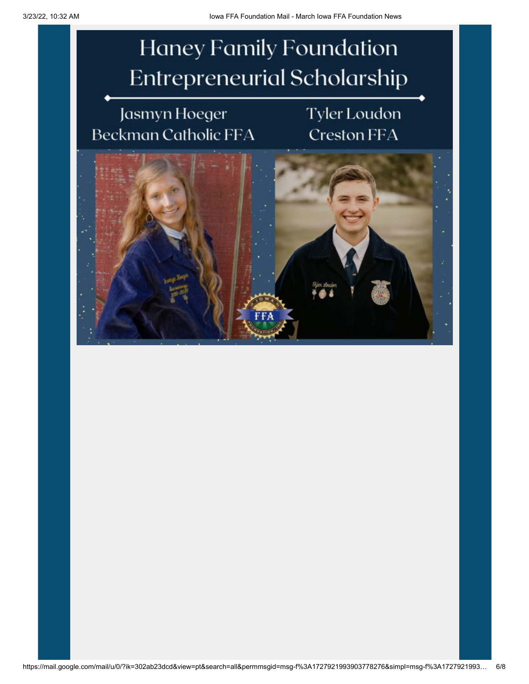**Haney Family Foundation Entrepreneurial Scholarship** 

## Jasmyn Hoeger Beckman Catholic FFA

## **Tyler Loudon Creston FFA**

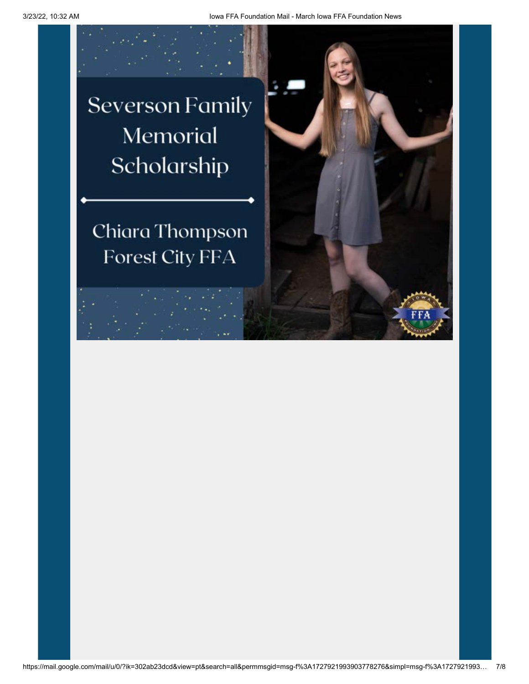**Severson Family** Memorial Scholarship

Chiara Thompson **Forest City FFA**